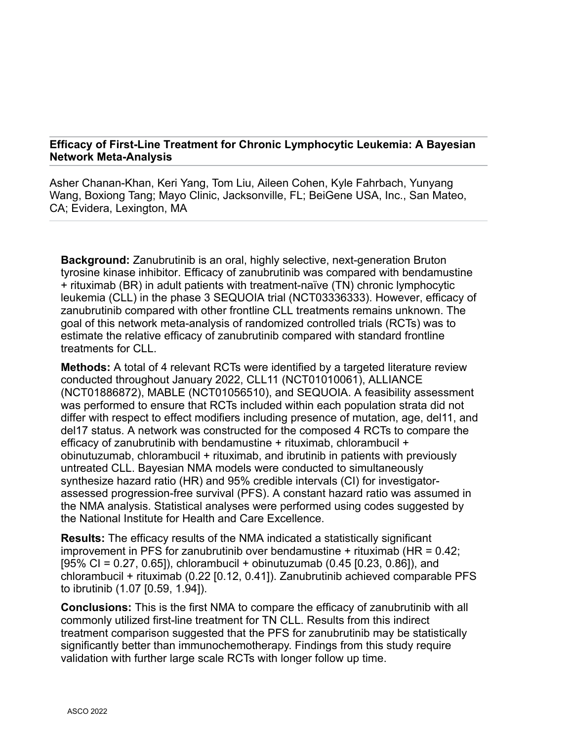## **Efficacy of First-Line Treatment for Chronic Lymphocytic Leukemia: A Bayesian Network Meta-Analysis**

Asher Chanan-Khan, Keri Yang, Tom Liu, Aileen Cohen, Kyle Fahrbach, Yunyang Wang, Boxiong Tang; Mayo Clinic, Jacksonville, FL; BeiGene USA, Inc., San Mateo, CA; Evidera, Lexington, MA

**Background:** Zanubrutinib is an oral, highly selective, next-generation Bruton tyrosine kinase inhibitor. Efficacy of zanubrutinib was compared with bendamustine + rituximab (BR) in adult patients with treatment-naïve (TN) chronic lymphocytic leukemia (CLL) in the phase 3 SEQUOIA trial (NCT03336333). However, efficacy of zanubrutinib compared with other frontline CLL treatments remains unknown. The goal of this network meta-analysis of randomized controlled trials (RCTs) was to estimate the relative efficacy of zanubrutinib compared with standard frontline treatments for CLL.

**Methods:** A total of 4 relevant RCTs were identified by a targeted literature review conducted throughout January 2022, CLL11 (NCT01010061), ALLIANCE (NCT01886872), MABLE (NCT01056510), and SEQUOIA. A feasibility assessment was performed to ensure that RCTs included within each population strata did not differ with respect to effect modifiers including presence of mutation, age, del11, and del17 status. A network was constructed for the composed 4 RCTs to compare the efficacy of zanubrutinib with bendamustine + rituximab, chlorambucil + obinutuzumab, chlorambucil + rituximab, and ibrutinib in patients with previously untreated CLL. Bayesian NMA models were conducted to simultaneously synthesize hazard ratio (HR) and 95% credible intervals (CI) for investigatorassessed progression-free survival (PFS). A constant hazard ratio was assumed in the NMA analysis. Statistical analyses were performed using codes suggested by the National Institute for Health and Care Excellence.

**Results:** The efficacy results of the NMA indicated a statistically significant improvement in PFS for zanubrutinib over bendamustine  $+$  rituximab (HR = 0.42;  $[95\% \text{ CI} = 0.27, 0.65]$ , chlorambucil + obinutuzumab (0.45 [0.23, 0.86]), and chlorambucil + rituximab (0.22 [0.12, 0.41]). Zanubrutinib achieved comparable PFS to ibrutinib (1.07 [0.59, 1.94]).

**Conclusions:** This is the first NMA to compare the efficacy of zanubrutinib with all commonly utilized first-line treatment for TN CLL. Results from this indirect treatment comparison suggested that the PFS for zanubrutinib may be statistically significantly better than immunochemotherapy. Findings from this study require validation with further large scale RCTs with longer follow up time.